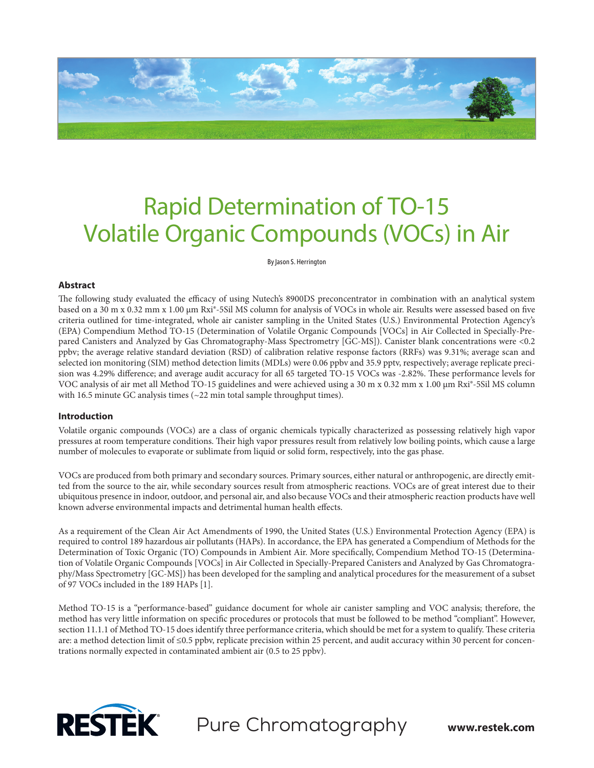

# Rapid Determination of TO-15 Volatile Organic Compounds (VOCs) in Air

By Jason S. Herrington

## **Abstract**

The following study evaluated the efficacy of using Nutech's 8900DS preconcentrator in combination with an analytical system based on a 30 m x 0.32 mm x 1.00 µm Rxi®-5Sil MS column for analysis of VOCs in whole air. Results were assessed based on five criteria outlined for time-integrated, whole air canister sampling in the United States (U.S.) Environmental Protection Agency's (EPA) Compendium Method TO-15 (Determination of Volatile Organic Compounds [VOCs] in Air Collected in Specially-Prepared Canisters and Analyzed by Gas Chromatography-Mass Spectrometry [GC-MS]). Canister blank concentrations were <0.2 ppbv; the average relative standard deviation (RSD) of calibration relative response factors (RRFs) was 9.31%; average scan and selected ion monitoring (SIM) method detection limits (MDLs) were 0.06 ppbv and 35.9 pptv, respectively; average replicate precision was 4.29% difference; and average audit accuracy for all 65 targeted TO-15 VOCs was -2.82%. These performance levels for VOC analysis of air met all Method TO-15 guidelines and were achieved using a 30 m x 0.32 mm x 1.00 µm Rxi®-5Sil MS column with 16.5 minute GC analysis times (~22 min total sample throughput times).

## **Introduction**

Volatile organic compounds (VOCs) are a class of organic chemicals typically characterized as possessing relatively high vapor pressures at room temperature conditions. Their high vapor pressures result from relatively low boiling points, which cause a large number of molecules to evaporate or sublimate from liquid or solid form, respectively, into the gas phase.

VOCs are produced from both primary and secondary sources. Primary sources, either natural or anthropogenic, are directly emitted from the source to the air, while secondary sources result from atmospheric reactions. VOCs are of great interest due to their ubiquitous presence in indoor, outdoor, and personal air, and also because VOCs and their atmospheric reaction products have well known adverse environmental impacts and detrimental human health effects.

As a requirement of the Clean Air Act Amendments of 1990, the United States (U.S.) Environmental Protection Agency (EPA) is required to control 189 hazardous air pollutants (HAPs). In accordance, the EPA has generated a Compendium of Methods for the Determination of Toxic Organic (TO) Compounds in Ambient Air. More specifically, Compendium Method TO-15 (Determination of Volatile Organic Compounds [VOCs] in Air Collected in Specially-Prepared Canisters and Analyzed by Gas Chromatography/Mass Spectrometry [GC-MS]) has been developed for the sampling and analytical procedures for the measurement of a subset of 97 VOCs included in the 189 HAPs [1].

Method TO-15 is a "performance-based" guidance document for whole air canister sampling and VOC analysis; therefore, the method has very little information on specific procedures or protocols that must be followed to be method "compliant". However, section 11.1.1 of Method TO-15 does identify three performance criteria, which should be met for a system to qualify. These criteria are: a method detection limit of ≤0.5 ppbv, replicate precision within 25 percent, and audit accuracy within 30 percent for concentrations normally expected in contaminated ambient air (0.5 to 25 ppbv).



Pure Chromatography **www.restek.com**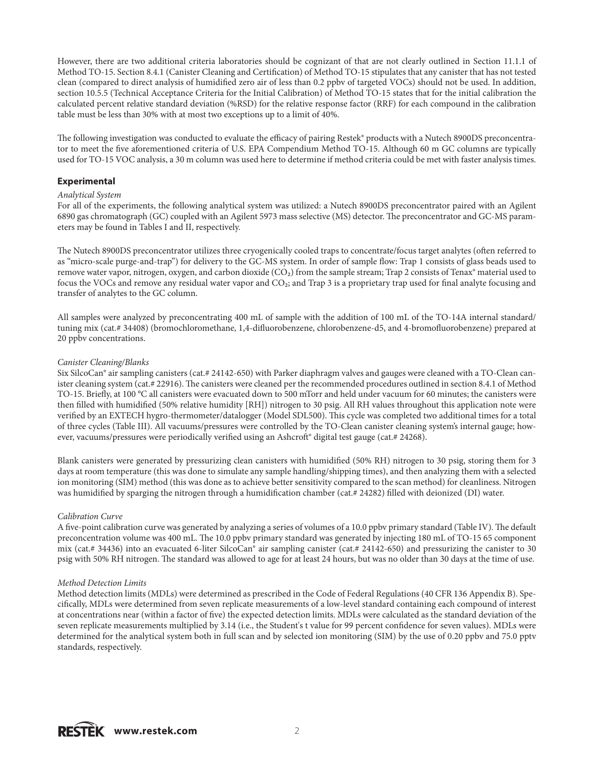However, there are two additional criteria laboratories should be cognizant of that are not clearly outlined in Section 11.1.1 of Method TO-15. Section 8.4.1 (Canister Cleaning and Certification) of Method TO-15 stipulates that any canister that has not tested clean (compared to direct analysis of humidified zero air of less than 0.2 ppbv of targeted VOCs) should not be used. In addition, section 10.5.5 (Technical Acceptance Criteria for the Initial Calibration) of Method TO-15 states that for the initial calibration the calculated percent relative standard deviation (%RSD) for the relative response factor (RRF) for each compound in the calibration table must be less than 30% with at most two exceptions up to a limit of 40%.

The following investigation was conducted to evaluate the efficacy of pairing Restek® products with a Nutech 8900DS preconcentrator to meet the five aforementioned criteria of U.S. EPA Compendium Method TO-15. Although 60 m GC columns are typically used for TO-15 VOC analysis, a 30 m column was used here to determine if method criteria could be met with faster analysis times.

## **Experimental**

### *Analytical System*

For all of the experiments, the following analytical system was utilized: a Nutech 8900DS preconcentrator paired with an Agilent 6890 gas chromatograph (GC) coupled with an Agilent 5973 mass selective (MS) detector. The preconcentrator and GC-MS parameters may be found in Tables I and II, respectively.

The Nutech 8900DS preconcentrator utilizes three cryogenically cooled traps to concentrate/focus target analytes (often referred to as "micro-scale purge-and-trap") for delivery to the GC-MS system. In order of sample flow: Trap 1 consists of glass beads used to remove water vapor, nitrogen, oxygen, and carbon dioxide (CO2) from the sample stream; Trap 2 consists of Tenax® material used to focus the VOCs and remove any residual water vapor and CO<sub>2</sub>; and Trap 3 is a proprietary trap used for final analyte focusing and transfer of analytes to the GC column.

All samples were analyzed by preconcentrating 400 mL of sample with the addition of 100 mL of the TO-14A internal standard/ tuning mix (cat.# 34408) (bromochloromethane, 1,4-difluorobenzene, chlorobenzene-d5, and 4-bromofluorobenzene) prepared at 20 ppbv concentrations.

### *Canister Cleaning/Blanks*

Six SilcoCan® air sampling canisters (cat.# 24142-650) with Parker diaphragm valves and gauges were cleaned with a TO-Clean canister cleaning system (cat.# 22916). The canisters were cleaned per the recommended procedures outlined in section 8.4.1 of Method TO-15. Briefly, at 100 °C all canisters were evacuated down to 500 mTorr and held under vacuum for 60 minutes; the canisters were then filled with humidified (50% relative humidity [RH]) nitrogen to 30 psig. All RH values throughout this application note were verified by an EXTECH hygro-thermometer/datalogger (Model SDL500). This cycle was completed two additional times for a total of three cycles (Table III). All vacuums/pressures were controlled by the TO-Clean canister cleaning system's internal gauge; however, vacuums/pressures were periodically verified using an Ashcroft® digital test gauge (cat.# 24268).

Blank canisters were generated by pressurizing clean canisters with humidified (50% RH) nitrogen to 30 psig, storing them for 3 days at room temperature (this was done to simulate any sample handling/shipping times), and then analyzing them with a selected ion monitoring (SIM) method (this was done as to achieve better sensitivity compared to the scan method) for cleanliness. Nitrogen was humidified by sparging the nitrogen through a humidification chamber (cat.# 24282) filled with deionized (DI) water.

## *Calibration Curve*

A five-point calibration curve was generated by analyzing a series of volumes of a 10.0 ppbv primary standard (Table IV). The default preconcentration volume was 400 mL. The 10.0 ppbv primary standard was generated by injecting 180 mL of TO-15 65 component mix (cat.# 34436) into an evacuated 6-liter SilcoCan® air sampling canister (cat.# 24142-650) and pressurizing the canister to 30 psig with 50% RH nitrogen. The standard was allowed to age for at least 24 hours, but was no older than 30 days at the time of use.

## *Method Detection Limits*

Method detection limits (MDLs) were determined as prescribed in the Code of Federal Regulations (40 CFR 136 Appendix B). Specifically, MDLs were determined from seven replicate measurements of a low-level standard containing each compound of interest at concentrations near (within a factor of five) the expected detection limits. MDLs were calculated as the standard deviation of the seven replicate measurements multiplied by 3.14 (i.e., the Student's t value for 99 percent confidence for seven values). MDLs were determined for the analytical system both in full scan and by selected ion monitoring (SIM) by the use of 0.20 ppbv and 75.0 pptv standards, respectively.

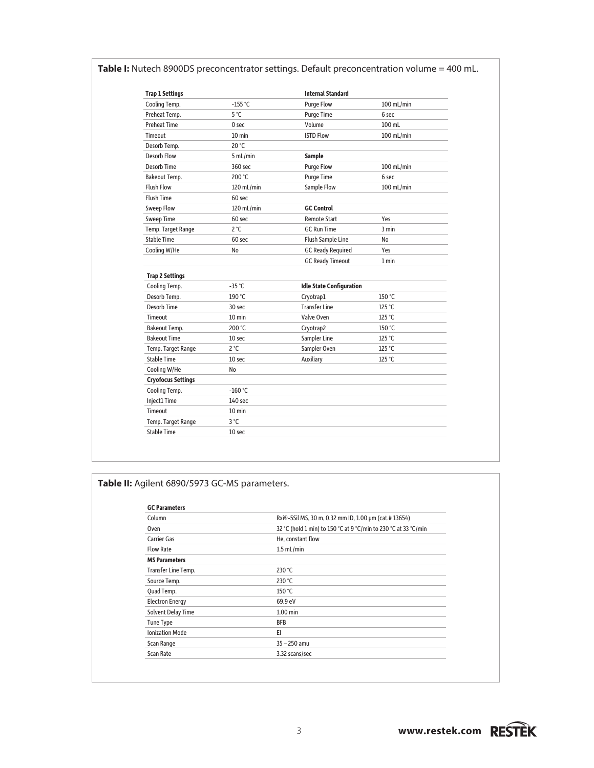| <b>Trap 1 Settings</b>    |                  | <b>Internal Standard</b>        |            |
|---------------------------|------------------|---------------------------------|------------|
| Cooling Temp.             | $-155$ °C        | <b>Purge Flow</b>               | 100 mL/min |
| Preheat Temp.             | $5^{\circ}$ C    | <b>Purge Time</b>               | 6 sec      |
| <b>Preheat Time</b>       | 0 sec            | Volume                          | 100 mL     |
| Timeout                   | $10 \text{ min}$ | <b>ISTD Flow</b>                | 100 mL/min |
| Desorb Temp.              | 20 °C            |                                 |            |
| <b>Desorb Flow</b>        | 5 mL/min         | <b>Sample</b>                   |            |
| Desorb Time               | 360 sec          | <b>Purge Flow</b>               | 100 mL/min |
| Bakeout Temp.             | 200 °C           | <b>Purge Time</b>               | 6 sec      |
| <b>Flush Flow</b>         | 120 mL/min       | Sample Flow                     | 100 mL/min |
| <b>Flush Time</b>         | 60 sec           |                                 |            |
| <b>Sweep Flow</b>         | 120 mL/min       | <b>GC Control</b>               |            |
| <b>Sweep Time</b>         | 60 sec           | <b>Remote Start</b>             | Yes        |
| Temp. Target Range        | $2^{\circ}C$     | <b>GC Run Time</b>              | 3 min      |
| <b>Stable Time</b>        | 60 sec           | <b>Flush Sample Line</b>        | No         |
| Cooling W/He              | No               | <b>GC Ready Required</b>        | Yes        |
|                           |                  | <b>GC Ready Timeout</b>         | 1 min      |
| <b>Trap 2 Settings</b>    |                  |                                 |            |
| Cooling Temp.             | $-35$ °C         | <b>Idle State Configuration</b> |            |
| Desorb Temp.              | 190 °C           | Cryotrap1                       | 150 °C     |
| <b>Desorb Time</b>        | 30 sec           | <b>Transfer Line</b>            | 125 °C     |
| Timeout                   | $10 \text{ min}$ | Valve Oven                      | 125 °C     |
| Bakeout Temp.             | 200 °C           | Cryotrap2                       | 150 °C     |
| <b>Bakeout Time</b>       | 10 sec           | <b>Sampler Line</b>             | 125 °C     |
| Temp. Target Range        | $2^{\circ}C$     | Sampler Oven                    | 125 °C     |
| <b>Stable Time</b>        | 10 sec           | Auxiliary                       | 125 °C     |
| Cooling W/He              | No               |                                 |            |
| <b>Cryofocus Settings</b> |                  |                                 |            |
| Cooling Temp.             | $-160$ °C        |                                 |            |
| Inject1 Time              | $140$ sec        |                                 |            |
| Timeout                   | $10 \text{ min}$ |                                 |            |
| Temp. Target Range        | $3^{\circ}$ C    |                                 |            |
| <b>Stable Time</b>        | 10 sec           |                                 |            |

## Table I: Nutech 8900DS preconcentrator settings. Default preconcentration volume = 400 mL.

## **Table II:** Agilent 6890/5973 GC-MS parameters.

| Column                 | Rxi®-5Sil MS, 30 m, 0.32 mm ID, 1.00 µm (cat.# 13654)           |
|------------------------|-----------------------------------------------------------------|
| Oven                   | 32 °C (hold 1 min) to 150 °C at 9 °C/min to 230 °C at 33 °C/min |
| <b>Carrier Gas</b>     | He, constant flow                                               |
| <b>Flow Rate</b>       | $1.5$ mL/min                                                    |
| <b>MS Parameters</b>   |                                                                 |
| Transfer Line Temp.    | 230 $°C$                                                        |
| Source Temp.           | 230 °C                                                          |
| Quad Temp.             | 150 °C                                                          |
| <b>Electron Energy</b> | 69.9 eV                                                         |
| Solvent Delay Time     | $1.00$ min                                                      |
| <b>Tune Type</b>       | <b>BFB</b>                                                      |
| <b>Ionization Mode</b> | EI                                                              |
| Scan Range             | $35 - 250$ amu                                                  |
| Scan Rate              | 3.32 scans/sec                                                  |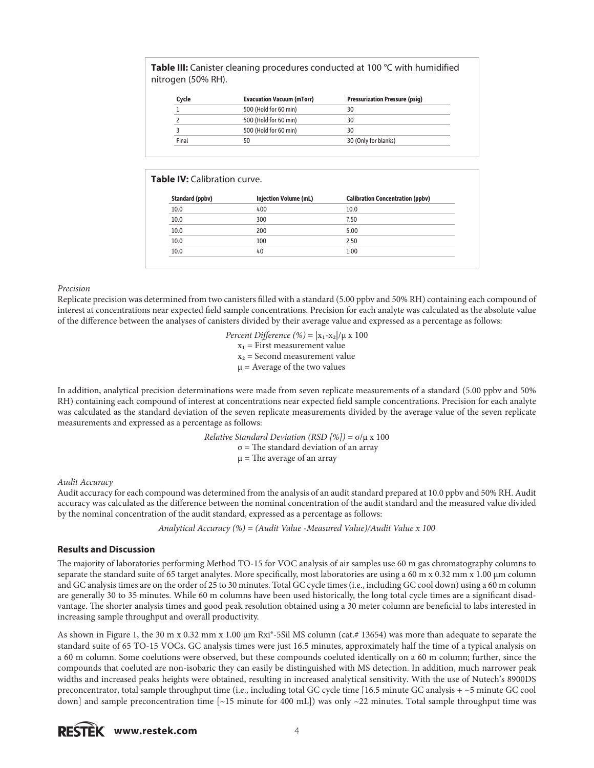**Table III:** Canister cleaning procedures conducted at 100 °C with humidified nitrogen (50% RH).

| Cycle | <b>Evacuation Vacuum (mTorr)</b> | <b>Pressurization Pressure (psig)</b> |
|-------|----------------------------------|---------------------------------------|
|       | 500 (Hold for 60 min)            | 30                                    |
|       | 500 (Hold for 60 min)            | 30                                    |
|       | 500 (Hold for 60 min)            | 30                                    |
| Final | 50                               | 30 (Only for blanks)                  |

## **Table IV: Calibration curve.**

| Standard (ppbv) | <b>Injection Volume (mL)</b> | <b>Calibration Concentration (ppbv)</b> |
|-----------------|------------------------------|-----------------------------------------|
| 10.0            | 400                          | 10.0                                    |
| 10.0            | 300                          | 7.50                                    |
| 10.0            | 200                          | 5.00                                    |
| 10.0            | 100                          | 2.50                                    |
| 10.0            | 40                           | 1.00                                    |

## *Precision*

Replicate precision was determined from two canisters filled with a standard (5.00 ppbv and 50% RH) containing each compound of interest at concentrations near expected field sample concentrations. Precision for each analyte was calculated as the absolute value of the difference between the analyses of canisters divided by their average value and expressed as a percentage as follows:

> *Percent Difference* (%) =  $|x_1 - x_2| / \mu \ge 100$  $x_1$  = First measurement value  $x_2$  = Second measurement value  $\mu$  = Average of the two values

In addition, analytical precision determinations were made from seven replicate measurements of a standard (5.00 ppbv and 50% RH) containing each compound of interest at concentrations near expected field sample concentrations. Precision for each analyte was calculated as the standard deviation of the seven replicate measurements divided by the average value of the seven replicate measurements and expressed as a percentage as follows:

> *Relative Standard Deviation (RSD [%])* = σ/μ x 100  $σ$  = The standard deviation of an array  $\mu$  = The average of an array

## *Audit Accuracy*

Audit accuracy for each compound was determined from the analysis of an audit standard prepared at 10.0 ppbv and 50% RH. Audit accuracy was calculated as the difference between the nominal concentration of the audit standard and the measured value divided by the nominal concentration of the audit standard, expressed as a percentage as follows:

*Analytical Accuracy (%) = (Audit Value -Measured Value)/Audit Value x 100*

## **Results and Discussion**

The majority of laboratories performing Method TO-15 for VOC analysis of air samples use 60 m gas chromatography columns to separate the standard suite of 65 target analytes. More specifically, most laboratories are using a 60 m x 0.32 mm x 1.00 µm column and GC analysis times are on the order of 25 to 30 minutes. Total GC cycle times (i.e., including GC cool down) using a 60 m column are generally 30 to 35 minutes. While 60 m columns have been used historically, the long total cycle times are a significant disadvantage. The shorter analysis times and good peak resolution obtained using a 30 meter column are beneficial to labs interested in increasing sample throughput and overall productivity.

As shown in Figure 1, the 30 m x 0.32 mm x 1.00 µm Rxi®-5Sil MS column (cat.# 13654) was more than adequate to separate the standard suite of 65 TO-15 VOCs. GC analysis times were just 16.5 minutes, approximately half the time of a typical analysis on a 60 m column. Some coelutions were observed, but these compounds coeluted identically on a 60 m column; further, since the compounds that coeluted are non-isobaric they can easily be distinguished with MS detection. In addition, much narrower peak widths and increased peaks heights were obtained, resulting in increased analytical sensitivity. With the use of Nutech's 8900DS preconcentrator, total sample throughput time (i.e., including total GC cycle time [16.5 minute GC analysis + ~5 minute GC cool down] and sample preconcentration time  $[\sim]15$  minute for 400 mL]) was only  $\sim$ 22 minutes. Total sample throughput time was

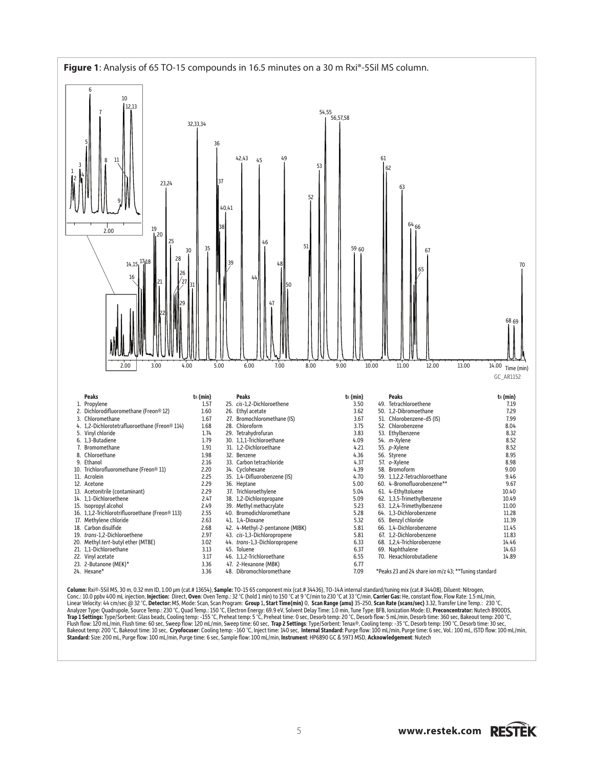

**Column:** Rxi®-5Sil MS, 30 m, 0.32 mm ID, 1.00 µm (cat.# 13654), **Sample:** TO-15 65 component mix (cat.# 34436), TO-14A internal standard/tuning mix (cat.# 34408), Diluent: Nitrogen,<br>Conc.: 10.0 ppbv 400 mL injection, **Inj** Linear Velocity: 44 cm/sec @ 32 °C, **Detector:** MS, Mode: Scan, Scan Program: **Group 1, Start Time(min) 0, Scan Range (amu)** 35-250, **Scan Rate (scans/sec)** 3.32, Transfer Line Temp.: 230 °C, Detector: MS, Mode: Scan, Prop Flush flow: 120 mL/min, Flush time: 60 sec, Sweep flow: 120 mL/min, Sweep time: 60 sec, **Trap 2 Settings**: Type/Sorbent: Tenax®, Cooling temp: -35 °C, Desorb temp: 190 °C, Desorb time: 30 sec,<br>Bakeout temp: 200 °C, Bakeout **Standard:** Size: 200 mL, Purge flow: 100 mL/min, Purge time: 6 sec, Sample flow: 100 mL/min, **Instrument**: HP6890 GC & 5973 MSD, **Acknowledgement**: Nutech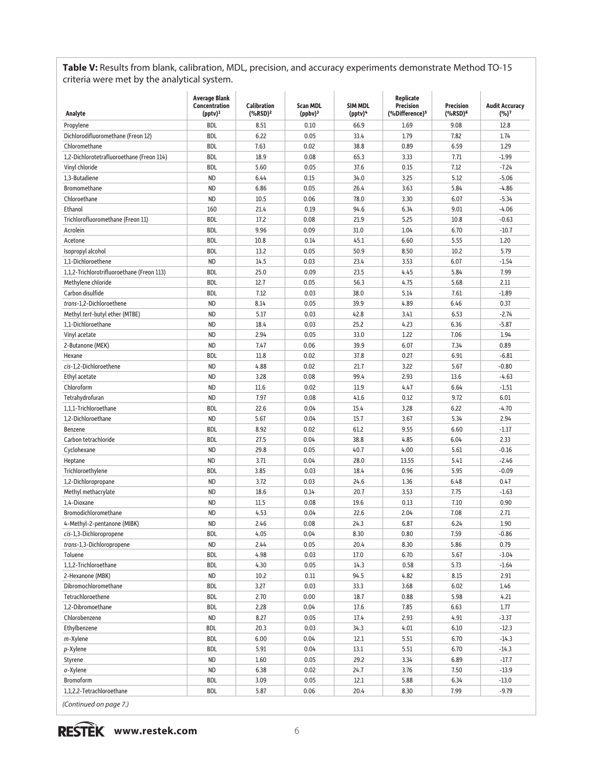**Table V:** Results from blank, calibration, MDL, precision, and accuracy experiments demonstrate Method TO-15 criteria were met by the analytical system.

| Analyte                                      | <b>Average Blank</b><br>Concentration<br>$(pptv)^1$ | <b>Calibration</b><br>$(^{\circ}\!\%RSD)^2$ | <b>Scan MDL</b><br>$(ppbv)^3$ | <b>SIM MDL</b><br>(pptv) <sup>4</sup> | Replicate<br><b>Precision</b><br>(%Difference) <sup>5</sup> | <b>Precision</b><br>(%RSD) <sup>6</sup> | <b>Audit Accuracy</b><br>$(%)^7$ |
|----------------------------------------------|-----------------------------------------------------|---------------------------------------------|-------------------------------|---------------------------------------|-------------------------------------------------------------|-----------------------------------------|----------------------------------|
| Propylene                                    | BDL                                                 | 8.51                                        | 0.10                          | 66.9                                  | 1.69                                                        | 9.08                                    | 12.8                             |
| Dichlorodifluoromethane (Freon 12)           | BDL                                                 | 6.22                                        | 0.05                          | 33.4                                  | 1.79                                                        | 7.82                                    | 1.74                             |
| Chloromethane                                | BDL                                                 | 7.63                                        | 0.02                          | 38.8                                  | 0.89                                                        | 6.59                                    | 1.29                             |
| 1,2-Dichlorotetrafluoroethane (Freon 114)    | BDL                                                 | 18.9                                        | 0.08                          | 65.3                                  | 3.33                                                        | 7.71                                    | $-1.99$                          |
| Vinyl chloride                               | <b>BDL</b>                                          | 5.60                                        | 0.05                          | 37.6                                  | 0.15                                                        | 7.12                                    | $-7.24$                          |
| 1,3-Butadiene                                | <b>ND</b>                                           | 6.44                                        | 0.15                          | 34.0                                  | 3.25                                                        | 5.12                                    | $-5.06$                          |
| <b>Bromomethane</b>                          | <b>ND</b>                                           | 6.86                                        | 0.05                          | 26.4                                  | 3.63                                                        | 5.84                                    | $-4.86$                          |
| Chloroethane                                 | <b>ND</b>                                           | 10.5                                        | 0.06                          | 78.0                                  | 3.30                                                        | 6.07                                    | $-5.34$                          |
| Ethanol                                      | 160                                                 | 21.4                                        | 0.19                          | 94.6                                  | 6.34                                                        | 9.01                                    | $-4.06$                          |
| Trichlorofluoromethane (Freon 11)            | <b>BDL</b>                                          | 17.2                                        | 0.08                          | 21.9                                  | 5.25                                                        | 10.8                                    | $-0.63$                          |
| Acrolein                                     | BDL                                                 | 9.96                                        | 0.09                          | 31.0                                  | 1.04                                                        | 6.70                                    | $-10.7$                          |
| Acetone                                      | BDL                                                 | 10.8                                        | 0.14                          | 45.1                                  | 6.60                                                        | 5.55                                    | 1.20                             |
| Isopropyl alcohol                            | BDL                                                 | 13.2                                        | 0.05                          | 50.9                                  | 8.50                                                        | 10.2                                    | 5.79                             |
| 1,1-Dichloroethene                           | <b>ND</b>                                           | 14.5                                        | 0.03                          | 23.4                                  | 3.53                                                        | 6.07                                    | $-1.54$                          |
| 1,1,2-Trichlorotrifluoroethane (Freon 113)   | <b>BDL</b>                                          | 25.0                                        | 0.09                          | 23.5                                  | 4.45                                                        | 5.84                                    | 7.99                             |
| Methylene chloride                           | BDL                                                 | 12.7                                        | 0.05                          | 56.3                                  | 4.75                                                        | 5.68                                    | 2.11                             |
|                                              |                                                     |                                             |                               | 38.0                                  | 5.14                                                        | 7.61                                    |                                  |
| Carbon disulfide<br>trans-1.2-Dichloroethene | BDL                                                 | 7.12<br>8.14                                | 0.03                          | 39.9                                  | 4.89                                                        | 6.46                                    | $-1.89$                          |
|                                              | <b>ND</b>                                           |                                             | 0.05                          |                                       |                                                             |                                         | 0.37                             |
| Methyl tert-butyl ether (MTBE)               | <b>ND</b>                                           | 5.17                                        | 0.03                          | 42.8                                  | 3.41                                                        | 6.53                                    | $-2.74$                          |
| 1.1-Dichloroethane                           | <b>ND</b>                                           | 18.4                                        | 0.03                          | 25.2                                  | 4.23                                                        | 6.36                                    | $-5.87$                          |
| Vinyl acetate                                | <b>ND</b>                                           | 2.94                                        | 0.05                          | 33.0                                  | 1.22                                                        | 7.06                                    | 1.94                             |
| 2-Butanone (MEK)                             | <b>ND</b>                                           | 7.47                                        | 0.06                          | 39.9                                  | 6.07                                                        | 7.34                                    | 0.89                             |
| Hexane                                       | BDL                                                 | 11.8                                        | 0.02                          | 37.8                                  | 0.27                                                        | 6.91                                    | $-6.81$                          |
| cis-1,2-Dichloroethene                       | <b>ND</b>                                           | 4.88                                        | 0.02                          | 21.7                                  | 3.22                                                        | 5.67                                    | $-0.80$                          |
| Ethyl acetate                                | ND                                                  | 3.28                                        | 0.08                          | 99.4                                  | 2.93                                                        | 13.6                                    | $-4.63$                          |
| Chloroform                                   | <b>ND</b>                                           | 11.6                                        | 0.02                          | 11.9                                  | 4.47                                                        | 6.64                                    | $-1.51$                          |
| Tetrahydrofuran                              | <b>ND</b>                                           | 7.97                                        | 0.08                          | 41.6                                  | 0.12                                                        | 9.72                                    | 6.01                             |
| 1,1,1-Trichloroethane                        | BDL                                                 | 22.6                                        | 0.04                          | 15.4                                  | 3.28                                                        | 6.22                                    | $-4.70$                          |
| 1,2-Dichloroethane                           | <b>ND</b>                                           | 5.67                                        | 0.04                          | 15.7                                  | 3.67                                                        | 5.34                                    | 2.94                             |
| Benzene                                      | <b>BDL</b>                                          | 8.92                                        | 0.02                          | 61.2                                  | 9.55                                                        | 6.60                                    | $-1.17$                          |
| Carbon tetrachloride                         | BDL                                                 | 27.5                                        | 0.04                          | 38.8                                  | 4.85                                                        | 6.04                                    | 2.33                             |
| Cyclohexane                                  | <b>ND</b>                                           | 29.8                                        | 0.05                          | 40.7                                  | 4.00                                                        | 5.61                                    | $-0.16$                          |
| Heptane                                      | ND                                                  | 3.71                                        | 0.04                          | 28.0                                  | 13.55                                                       | 5.41                                    | $-2.46$                          |
| Trichloroethylene                            | BDL                                                 | 3.85                                        | 0.03                          | 18.4                                  | 0.96                                                        | 5.95                                    | $-0.09$                          |
| 1,2-Dichloropropane                          | <b>ND</b>                                           | 3.72                                        | 0.03                          | 24.6                                  | 1.36                                                        | 6.48                                    | 0.47                             |
| Methyl methacrylate                          | <b>ND</b>                                           | 18.6                                        | 0.14                          | 20.7                                  | 3.53                                                        | 7.75                                    | $-1.63$                          |
| 1,4-Dioxane                                  | ND                                                  | 11.5                                        | 0.08                          | 19.6                                  | 0.13                                                        | 7.10                                    | 0.90                             |
| Bromodichloromethane                         | <b>ND</b>                                           | 4.53                                        | 0.04                          | 22.6                                  | 2.04                                                        | 7.08                                    | 2.71                             |
| 4-Methyl-2-pentanone (MIBK)                  | ND                                                  | 2.46                                        | 0.08                          | 24.3                                  | 6.87                                                        | 6.24                                    | 1.90                             |
| cis-1,3-Dichloropropene                      | BDL                                                 | 4.05                                        | 0.04                          | 8.30                                  | 0.80                                                        | 7.59                                    | $-0.86$                          |
| trans-1,3-Dichloropropene                    | ND                                                  | 2.44                                        | 0.05                          | 20.4                                  | 8.30                                                        | 5.86                                    | 0.79                             |
| Toluene                                      | BDL                                                 | 4.98                                        | 0.03                          | 17.0                                  | 6.70                                                        | 5.67                                    | $-3.04$                          |
| 1,1,2-Trichloroethane                        | BDL                                                 | 4.30                                        | 0.05                          | 14.3                                  | 0.58                                                        | 5.73                                    | $-1.64$                          |
| 2-Hexanone (MBK)                             | ND                                                  | 10.2                                        | 0.11                          | 94.5                                  | 4.82                                                        | 8.15                                    | 2.91                             |
| Dibromochloromethane                         | BDL                                                 | 3.27                                        | 0.03                          | 33.3                                  | 3.68                                                        | 6.02                                    | 1.46                             |
| Tetrachloroethene                            | BDL                                                 | 2.70                                        | 0.00                          | 18.7                                  | 0.88                                                        | 5.98                                    | 4.21                             |
| 1,2-Dibromoethane                            | BDL                                                 | 2.28                                        | 0.04                          | 17.6                                  | 7.85                                                        | 6.63                                    | 1.77                             |
| Chlorobenzene                                | ND                                                  | 8.27                                        | 0.05                          | 17.4                                  | 2.93                                                        | 4.91                                    | $-3.37$                          |
| Ethylbenzene                                 | <b>BDL</b>                                          | 20.3                                        | 0.03                          | 34.3                                  | 4.01                                                        | 6.10                                    | $-12.3$                          |
| m-Xylene                                     | BDL                                                 | 6.00                                        | 0.04                          | 12.1                                  | 5.51                                                        | 6.70                                    | $-14.3$                          |
|                                              |                                                     |                                             |                               |                                       |                                                             |                                         |                                  |
| p-Xylene                                     | BDL                                                 | 5.91                                        | 0.04                          | 13.1                                  | 5.51                                                        | 6.70                                    | $-14.3$                          |
| Styrene                                      | ND                                                  | 1.60                                        | 0.05                          | 29.2                                  | 3.34                                                        | 6.89                                    | $-17.7$                          |
| o-Xylene                                     | <b>ND</b>                                           | 6.38                                        | 0.02                          | 24.7                                  | 3.76                                                        | 7.50                                    | $-13.9$                          |
| Bromoform                                    | BDL                                                 | 3.09                                        | 0.05                          | 12.1                                  | 5.88                                                        | 6.34                                    | $-13.0$                          |
| 1,1,2,2-Tetrachloroethane                    | BDL                                                 | 5.87                                        | 0.06                          | 20.4                                  | 8.30                                                        | 7.99                                    | $-9.79$                          |

*(Continued on page 7.)*

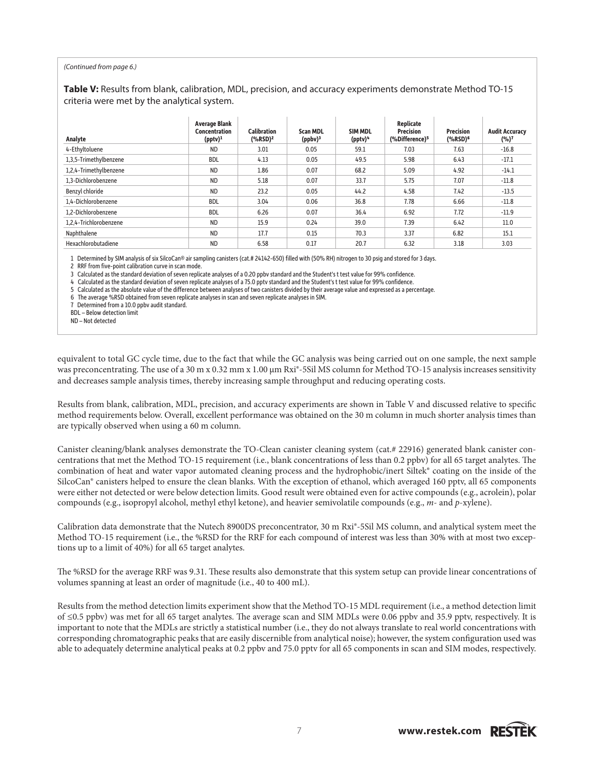#### *(Continued from page 6.)*

**Table V:** Results from blank, calibration, MDL, precision, and accuracy experiments demonstrate Method TO-15 criteria were met by the analytical system.

| Analyte                | <b>Average Blank</b><br>Concentration<br>$(pptv)^1$ | <b>Calibration</b><br>(%RSD) <sup>2</sup> | <b>Scan MDL</b><br>$(ppbv)^3$ | SIM MDL<br>(pptv) <sup>4</sup> | Replicate<br><b>Precision</b><br>(%Difference) <sup>5</sup> | <b>Precision</b><br>(%RSD) <sup>6</sup> | <b>Audit Accuracy</b><br>$(%)^7$ |
|------------------------|-----------------------------------------------------|-------------------------------------------|-------------------------------|--------------------------------|-------------------------------------------------------------|-----------------------------------------|----------------------------------|
| 4-Ethyltoluene         | ND.                                                 | 3.01                                      | 0.05                          | 59.1                           | 7.03                                                        | 7.63                                    | $-16.8$                          |
| 1,3,5-Trimethylbenzene | <b>BDL</b>                                          | 4.13                                      | 0.05                          | 49.5                           | 5.98                                                        | 6.43                                    | $-17.1$                          |
| 1,2,4-Trimethylbenzene | <b>ND</b>                                           | 1.86                                      | 0.07                          | 68.2                           | 5.09                                                        | 4.92                                    | $-14.1$                          |
| 1.3-Dichlorobenzene    | <b>ND</b>                                           | 5.18                                      | 0.07                          | 33.7                           | 5.75                                                        | 7.07                                    | $-11.8$                          |
| Benzyl chloride        | <b>ND</b>                                           | 23.2                                      | 0.05                          | 44.2                           | 4.58                                                        | 7.42                                    | $-13.5$                          |
| 1.4-Dichlorobenzene    | <b>BDL</b>                                          | 3.04                                      | 0.06                          | 36.8                           | 7.78                                                        | 6.66                                    | $-11.8$                          |
| 1.2-Dichlorobenzene    | <b>BDL</b>                                          | 6.26                                      | 0.07                          | 36.4                           | 6.92                                                        | 7.72                                    | $-11.9$                          |
| 1,2,4-Trichlorobenzene | <b>ND</b>                                           | 15.9                                      | 0.24                          | 39.0                           | 7.39                                                        | 6.42                                    | 11.0                             |
| Naphthalene            | <b>ND</b>                                           | 17.7                                      | 0.15                          | 70.3                           | 3.37                                                        | 6.82                                    | 15.1                             |
| Hexachlorobutadiene    | <b>ND</b>                                           | 6.58                                      | 0.17                          | 20.7                           | 6.32                                                        | 3.18                                    | 3.03                             |

1 Determined by SIM analysis of six SilcoCan® air sampling canisters (cat.# 24142-650) filled with (50% RH) nitrogen to 30 psig and stored for 3 days.

2 RRF from five-point calibration curve in scan mode.

3 Calculated as the standard deviation of seven replicate analyses of a 0.20 ppbv standard and the Student's t test value for 99% confidence.

4 Calculated as the standard deviation of seven replicate analyses of a 75.0 pptv standard and the Student's t test value for 99% confidence.

5 Calculated as the absolute value of the difference between analyses of two canisters divided by their average value and expressed as a percentage.

6 The average %RSD obtained from seven replicate analyses in scan and seven replicate analyses in SIM.

7 Determined from a 10.0 ppbv audit standard.

BDL – Below detection limit

ND – Not detected

equivalent to total GC cycle time, due to the fact that while the GC analysis was being carried out on one sample, the next sample was preconcentrating. The use of a 30 m x 0.32 mm x 1.00  $\mu$ m Rxi®-5Sil MS column for Method TO-15 analysis increases sensitivity and decreases sample analysis times, thereby increasing sample throughput and reducing operating costs.

Results from blank, calibration, MDL, precision, and accuracy experiments are shown in Table V and discussed relative to specific method requirements below. Overall, excellent performance was obtained on the 30 m column in much shorter analysis times than are typically observed when using a 60 m column.

Canister cleaning/blank analyses demonstrate the TO-Clean canister cleaning system (cat.# 22916) generated blank canister concentrations that met the Method TO-15 requirement (i.e., blank concentrations of less than 0.2 ppbv) for all 65 target analytes. The combination of heat and water vapor automated cleaning process and the hydrophobic/inert Siltek® coating on the inside of the SilcoCan® canisters helped to ensure the clean blanks. With the exception of ethanol, which averaged 160 pptv, all 65 components were either not detected or were below detection limits. Good result were obtained even for active compounds (e.g., acrolein), polar compounds (e.g., isopropyl alcohol, methyl ethyl ketone), and heavier semivolatile compounds (e.g., *m*- and *p*-xylene).

Calibration data demonstrate that the Nutech 8900DS preconcentrator, 30 m Rxi®-5Sil MS column, and analytical system meet the Method TO-15 requirement (i.e., the %RSD for the RRF for each compound of interest was less than 30% with at most two exceptions up to a limit of 40%) for all 65 target analytes.

The %RSD for the average RRF was 9.31. These results also demonstrate that this system setup can provide linear concentrations of volumes spanning at least an order of magnitude (i.e., 40 to 400 mL).

Results from the method detection limits experiment show that the Method TO-15 MDL requirement (i.e., a method detection limit of ≤0.5 ppbv) was met for all 65 target analytes. The average scan and SIM MDLs were 0.06 ppbv and 35.9 pptv, respectively. It is important to note that the MDLs are strictly a statistical number (i.e., they do not always translate to real world concentrations with corresponding chromatographic peaks that are easily discernible from analytical noise); however, the system configuration used was able to adequately determine analytical peaks at 0.2 ppbv and 75.0 pptv for all 65 components in scan and SIM modes, respectively.